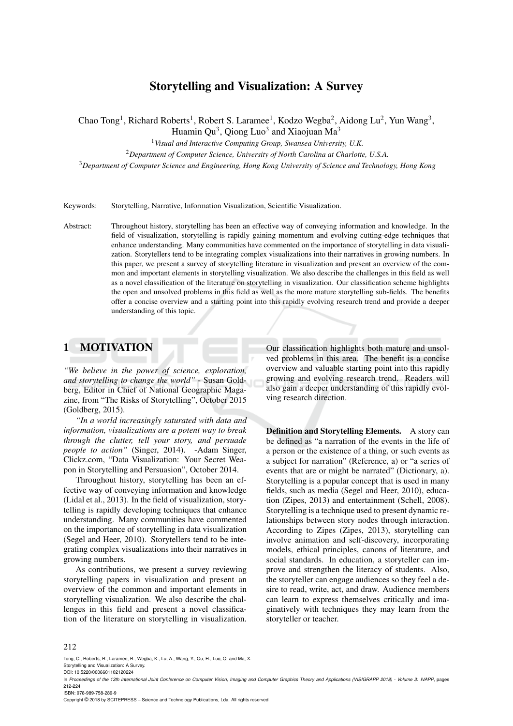# Storytelling and Visualization: A Survey

Chao Tong<sup>1</sup>, Richard Roberts<sup>1</sup>, Robert S. Laramee<sup>1</sup>, Kodzo Wegba<sup>2</sup>, Aidong Lu<sup>2</sup>, Yun Wang<sup>3</sup>, Huamin Qu<sup>3</sup>, Qiong Luo<sup>3</sup> and Xiaojuan Ma<sup>3</sup>

<sup>1</sup>*Visual and Interactive Computing Group, Swansea University, U.K.*

<sup>2</sup>*Department of Computer Science, University of North Carolina at Charlotte, U.S.A.*

<sup>3</sup>*Department of Computer Science and Engineering, Hong Kong University of Science and Technology, Hong Kong*

Keywords: Storytelling, Narrative, Information Visualization, Scientific Visualization.

Abstract: Throughout history, storytelling has been an effective way of conveying information and knowledge. In the field of visualization, storytelling is rapidly gaining momentum and evolving cutting-edge techniques that enhance understanding. Many communities have commented on the importance of storytelling in data visualization. Storytellers tend to be integrating complex visualizations into their narratives in growing numbers. In this paper, we present a survey of storytelling literature in visualization and present an overview of the common and important elements in storytelling visualization. We also describe the challenges in this field as well as a novel classification of the literature on storytelling in visualization. Our classification scheme highlights the open and unsolved problems in this field as well as the more mature storytelling sub-fields. The benefits offer a concise overview and a starting point into this rapidly evolving research trend and provide a deeper understanding of this topic.

# 1 MOTIVATION

*"We believe in the power of science, exploration, and storytelling to change the world"* - Susan Goldberg, Editor in Chief of National Geographic Magazine, from "The Risks of Storytelling", October 2015 (Goldberg, 2015).

*"In a world increasingly saturated with data and information, visualizations are a potent way to break through the clutter, tell your story, and persuade people to action"* (Singer, 2014). -Adam Singer, Clickz.com, "Data Visualization: Your Secret Weapon in Storytelling and Persuasion", October 2014.

Throughout history, storytelling has been an effective way of conveying information and knowledge (Lidal et al., 2013). In the field of visualization, storytelling is rapidly developing techniques that enhance understanding. Many communities have commented on the importance of storytelling in data visualization (Segel and Heer, 2010). Storytellers tend to be integrating complex visualizations into their narratives in growing numbers.

As contributions, we present a survey reviewing storytelling papers in visualization and present an overview of the common and important elements in storytelling visualization. We also describe the challenges in this field and present a novel classification of the literature on storytelling in visualization.

Our classification highlights both mature and unsolved problems in this area. The benefit is a concise overview and valuable starting point into this rapidly growing and evolving research trend. Readers will also gain a deeper understanding of this rapidly evolving research direction.

Definition and Storytelling Elements. A story can be defined as "a narration of the events in the life of a person or the existence of a thing, or such events as a subject for narration" (Reference, a) or "a series of events that are or might be narrated" (Dictionary, a). Storytelling is a popular concept that is used in many fields, such as media (Segel and Heer, 2010), education (Zipes, 2013) and entertainment (Schell, 2008). Storytelling is a technique used to present dynamic relationships between story nodes through interaction. According to Zipes (Zipes, 2013), storytelling can involve animation and self-discovery, incorporating models, ethical principles, canons of literature, and social standards. In education, a storyteller can improve and strengthen the literacy of students. Also, the storyteller can engage audiences so they feel a desire to read, write, act, and draw. Audience members can learn to express themselves critically and imaginatively with techniques they may learn from the storyteller or teacher.

#### 212

Tong, C., Roberts, R., Laramee, R., Wegba, K., Lu, A., Wang, Y., Qu, H., Luo, Q. and Ma, X. Storytelling and Visualization: A Survey.

DOI: 10.5220/0006601102120224

ISBN: 978-989-758-289-9

Copyright © 2018 by SCITEPRESS – Science and Technology Publications, Lda. All rights reserved

In *Proceedings of the 13th International Joint Conference on Computer Vision, Imaging and Computer Graphics Theory and Applications (VISIGRAPP 2018) - Volume 3: IVAPP*, pages 212-224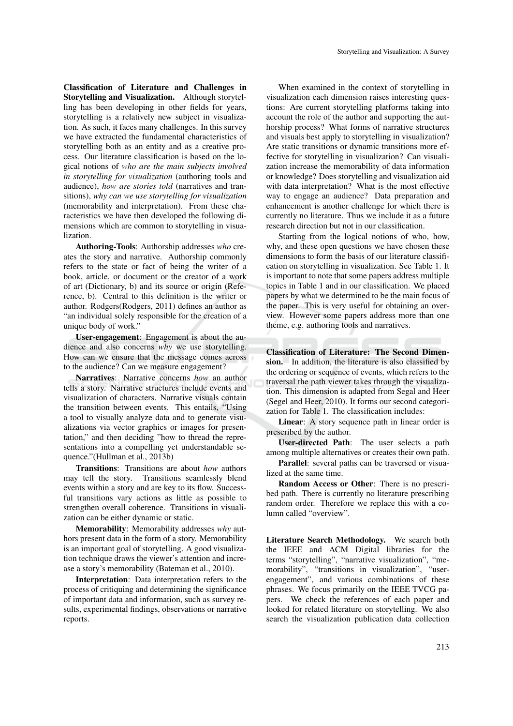Classification of Literature and Challenges in Storytelling and Visualization. Although storytelling has been developing in other fields for years, storytelling is a relatively new subject in visualization. As such, it faces many challenges. In this survey we have extracted the fundamental characteristics of storytelling both as an entity and as a creative process. Our literature classification is based on the logical notions of *who are the main subjects involved in storytelling for visualization* (authoring tools and audience), *how are stories told* (narratives and transitions), *why can we use storytelling for visualization* (memorability and interpretation). From these characteristics we have then developed the following dimensions which are common to storytelling in visualization.

Authoring-Tools: Authorship addresses *who* creates the story and narrative. Authorship commonly refers to the state or fact of being the writer of a book, article, or document or the creator of a work of art (Dictionary, b) and its source or origin (Reference, b). Central to this definition is the writer or author. Rodgers(Rodgers, 2011) defines an author as "an individual solely responsible for the creation of a unique body of work."

User-engagement: Engagement is about the audience and also concerns *why* we use storytelling. How can we ensure that the message comes across to the audience? Can we measure engagement?

Narratives: Narrative concerns *how* an author tells a story. Narrative structures include events and visualization of characters. Narrative visuals contain the transition between events. This entails, "Using a tool to visually analyze data and to generate visualizations via vector graphics or images for presentation," and then deciding "how to thread the representations into a compelling yet understandable sequence."(Hullman et al., 2013b)

Transitions: Transitions are about *how* authors may tell the story. Transitions seamlessly blend events within a story and are key to its flow. Successful transitions vary actions as little as possible to strengthen overall coherence. Transitions in visualization can be either dynamic or static.

Memorability: Memorability addresses *why* authors present data in the form of a story. Memorability is an important goal of storytelling. A good visualization technique draws the viewer's attention and increase a story's memorability (Bateman et al., 2010).

Interpretation: Data interpretation refers to the process of critiquing and determining the significance of important data and information, such as survey results, experimental findings, observations or narrative reports.

When examined in the context of storytelling in visualization each dimension raises interesting questions: Are current storytelling platforms taking into account the role of the author and supporting the authorship process? What forms of narrative structures and visuals best apply to storytelling in visualization? Are static transitions or dynamic transitions more effective for storytelling in visualization? Can visualization increase the memorability of data information or knowledge? Does storytelling and visualization aid with data interpretation? What is the most effective way to engage an audience? Data preparation and enhancement is another challenge for which there is currently no literature. Thus we include it as a future research direction but not in our classification.

Starting from the logical notions of who, how, why, and these open questions we have chosen these dimensions to form the basis of our literature classification on storytelling in visualization. See Table 1. It is important to note that some papers address multiple topics in Table 1 and in our classification. We placed papers by what we determined to be the main focus of the paper. This is very useful for obtaining an overview. However some papers address more than one theme, e.g. authoring tools and narratives.

Classification of Literature: The Second Dimension. In addition, the literature is also classified by the ordering or sequence of events, which refers to the traversal the path viewer takes through the visualization. This dimension is adapted from Segal and Heer (Segel and Heer, 2010). It forms our second categorization for Table 1. The classification includes:

Linear: A story sequence path in linear order is prescribed by the author.

User-directed Path: The user selects a path among multiple alternatives or creates their own path.

Parallel: several paths can be traversed or visualized at the same time.

Random Access or Other: There is no prescribed path. There is currently no literature prescribing random order. Therefore we replace this with a column called "overview".

Literature Search Methodology. We search both the IEEE and ACM Digital libraries for the terms "storytelling", "narrative visualization", "memorability", "transitions in visualization", "userengagement", and various combinations of these phrases. We focus primarily on the IEEE TVCG papers. We check the references of each paper and looked for related literature on storytelling. We also search the visualization publication data collection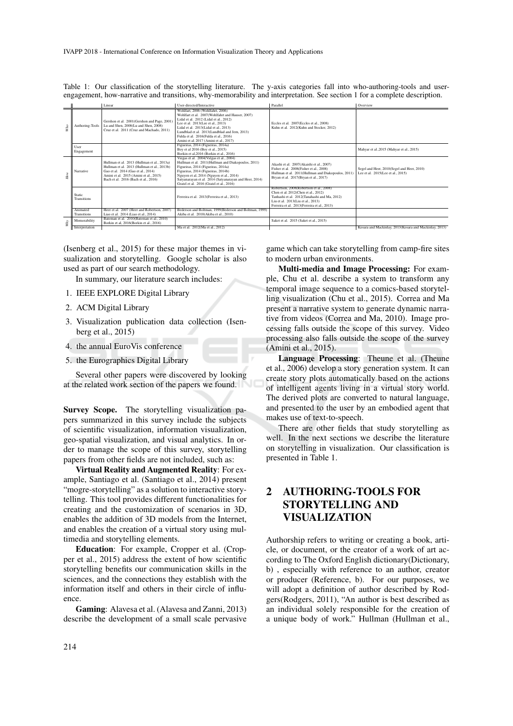|                     |                           | Linear                                                                                                                                                                                                             | User-directed/Interactive                                                                                                                                                                                                                                                                                                                         | Parallel                                                                                                                                                                                                           | Overview                                                                        |
|---------------------|---------------------------|--------------------------------------------------------------------------------------------------------------------------------------------------------------------------------------------------------------------|---------------------------------------------------------------------------------------------------------------------------------------------------------------------------------------------------------------------------------------------------------------------------------------------------------------------------------------------------|--------------------------------------------------------------------------------------------------------------------------------------------------------------------------------------------------------------------|---------------------------------------------------------------------------------|
|                     |                           |                                                                                                                                                                                                                    |                                                                                                                                                                                                                                                                                                                                                   |                                                                                                                                                                                                                    |                                                                                 |
| Who                 | Authoring-Tools           | Gershon et al. 2001(Gershon and Page, 2001)<br>Lu and Shen, 2008(Lu and Shen, 2008)<br>Cruz et al. 2011 (Cruz and Machado, 2011)                                                                                   | Wohlfart, 2006 (Wohlfahrt, 2006)<br>Wohlfart et al. 2007(Wohlfahrt and Hauser, 2007)<br>Lidal et al. 2012 (Lidal et al., 2012)<br>Lee et al. 2013(Lee et al., 2013)<br>Lidal et al. 2013(Lidal et al., 2013)<br>Lundblad et al. 2013(Lundblad and Jern, 2013).<br>Fulda et al. 2016(Fulda et al., 2016)<br>Amini et al. 2017 (Amini et al., 2017) | Eccles et al. 2007 (Eccles et al., 2008)<br>Kuhn et al. 2012(Kuhn and Stocker, 2012)                                                                                                                               |                                                                                 |
|                     | <b>User</b><br>Engagement |                                                                                                                                                                                                                    | Figueiras, 2014 (Figueiras, 2014a)<br>Boy et al 2016 (Boy et al., 2015)<br>Borkin et al, 2016 (Borkin et al., 2016)                                                                                                                                                                                                                               |                                                                                                                                                                                                                    | Mahvar et al., 2015 (Mahvar et al., 2015)                                       |
| How                 | Narrative                 | Hullman et al. 2013 (Hullman et al., 2013a)<br>Hullman et al. 2013 (Hullman et al., 2013b)<br>Gao et al. 2014 (Gao et al., 2014)<br>Amini et al. 2015 (Amini et al., 2015)<br>Bach et al. 2016 (Bach et al., 2016) | Viegas et al. 2004(Viégas et al., 2004)<br>Hullman et al. 2011(Hullman and Diakopoulos, 2011)<br>Figueiras, 2014 (Figueiras, 2014a)<br>Figueiras, 2014 (Figueiras, 2014b)<br>Nguyen et al, 2014 (Nguyen et al., 2014)<br>Satyanarayan et al. 2014 (Satyanarayan and Heer, 2014)<br>Gratzl et al. 2016 (Gratzl et al., 2016)                       | Akashi et al. 2007(Akaishi et al., 2007)<br>Fisher et al. 2008(Fisher et al., 2008)<br>Hullman et al. 2011(Hullman and Diakopoulos, 2011)<br>Bryan et al. 2017(Bryan et al., 2017)                                 | Segel and Heer, 2010(Segel and Heer, 2010)<br>Lee et al. 2015(Lee et al., 2015) |
|                     | Static.<br>Transitions    |                                                                                                                                                                                                                    | Ferreira et al. 2013(Ferreira et al., 2013)                                                                                                                                                                                                                                                                                                       | Robertson, 2008(Robertson et al., 2008)<br>Chen et al. 2012(Chen et al., 2012)<br>Tanhashi et al. 2012(Tanahashi and Ma, 2012)<br>Liu et al. 2013(Liu et al., 2013)<br>Ferreira et al. 2013(Ferreira et al., 2013) |                                                                                 |
|                     | Animated                  | Heer et al. 2007 (Heer and Robertson, 2007).                                                                                                                                                                       | Bederson and Boltman, 1999(Bederson and Boltman, 1999)                                                                                                                                                                                                                                                                                            |                                                                                                                                                                                                                    |                                                                                 |
|                     | <b>Transitions</b>        | Liao et al. 2014 (Liao et al., 2014)                                                                                                                                                                               | Akiba et al. 2010(Akiba et al., 2010)                                                                                                                                                                                                                                                                                                             |                                                                                                                                                                                                                    |                                                                                 |
| $\ensuremath{W\!N}$ | Memorability              | Bateman et al. 2010(Bateman et al., 2010)<br>Borkin et al. 2016(Borkin et al., 2016)                                                                                                                               |                                                                                                                                                                                                                                                                                                                                                   | Saket et al. 2015 (Saket et al., 2015)                                                                                                                                                                             |                                                                                 |
|                     | Interpretation            |                                                                                                                                                                                                                    | Ma et al. 2012(Ma et al., 2012)                                                                                                                                                                                                                                                                                                                   |                                                                                                                                                                                                                    | Kosara and Mackinlay, 2013(Kosara and Mackinlay, 2013)                          |

Table 1: Our classification of the storytelling literature. The y-axis categories fall into who-authoring-tools and userengagement, how-narrative and transitions, why-memorability and interpretation. See section 1 for a complete description.

(Isenberg et al., 2015) for these major themes in visualization and storytelling. Google scholar is also used as part of our search methodology.

In summary, our literature search includes:

- 1. IEEE EXPLORE Digital Library
- 2. ACM Digital Library
- 3. Visualization publication data collection (Isenberg et al., 2015)
- 4. the annual EuroVis conference
- 5. the Eurographics Digital Library

Several other papers were discovered by looking at the related work section of the papers we found.

Survey Scope. The storytelling visualization papers summarized in this survey include the subjects of scientific visualization, information visualization, geo-spatial visualization, and visual analytics. In order to manage the scope of this survey, storytelling papers from other fields are not included, such as:

Virtual Reality and Augmented Reality: For example, Santiago et al. (Santiago et al., 2014) present "mogre-storytelling" as a solution to interactive storytelling. This tool provides different functionalities for creating and the customization of scenarios in 3D, enables the addition of 3D models from the Internet, and enables the creation of a virtual story using multimedia and storytelling elements.

Education: For example, Cropper et al. (Cropper et al., 2015) address the extent of how scientific storytelling benefits our communication skills in the sciences, and the connections they establish with the information itself and others in their circle of influence.

Gaming: Alavesa et al. (Alavesa and Zanni, 2013) describe the development of a small scale pervasive game which can take storytelling from camp-fire sites to modern urban environments.

Multi-media and Image Processing: For example, Chu et al. describe a system to transform any temporal image sequence to a comics-based storytelling visualization (Chu et al., 2015). Correa and Ma present a narrative system to generate dynamic narrative from videos (Correa and Ma, 2010). Image processing falls outside the scope of this survey. Video processing also falls outside the scope of the survey (Amini et al., 2015).

Language Processing: Theune et al. (Theune et al., 2006) develop a story generation system. It can create story plots automatically based on the actions of intelligent agents living in a virtual story world. The derived plots are converted to natural language, and presented to the user by an embodied agent that makes use of text-to-speech.

There are other fields that study storytelling as well. In the next sections we describe the literature on storytelling in visualization. Our classification is presented in Table 1.

# 2 AUTHORING-TOOLS FOR STORYTELLING AND VISUALIZATION

Authorship refers to writing or creating a book, article, or document, or the creator of a work of art according to The Oxford English dictionary(Dictionary, b) , especially with reference to an author, creator or producer (Reference, b). For our purposes, we will adopt a definition of author described by Rodgers(Rodgers, 2011), "An author is best described as an individual solely responsible for the creation of a unique body of work." Hullman (Hullman et al.,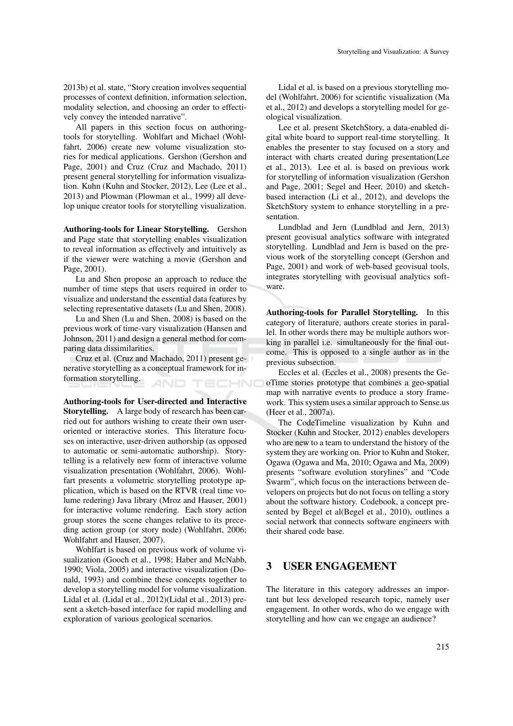All papers in this section focus on authoringtools for storytelling. Wohlfart and Michael (Wohlfahrt, 2006) create new volume visualization stories for medical applications. Gershon (Gershon and Page, 2001) and Cruz (Cruz and Machado, 2011) present general storytelling for information visualization. Kuhn (Kuhn and Stocker, 2012), Lee (Lee et al., 2013) and Plowman (Plowman et al., 1999) all develop unique creator tools for storytelling visualization.

Authoring-tools for Linear Storytelling. Gershon and Page state that storytelling enables visualization to reveal information as effectively and intuitively as if the viewer were watching a movie (Gershon and Page, 2001).

Lu and Shen propose an approach to reduce the number of time steps that users required in order to visualize and understand the essential data features by selecting representative datasets (Lu and Shen, 2008).

Lu and Shen (Lu and Shen, 2008) is based on the previous work of time-vary visualization (Hansen and Johnson, 2011) and design a general method for comparing data dissimilarities.

Cruz et al. (Cruz and Machado, 2011) present generative storytelling as a conceptual framework for information storytelling. TECHNO

Authoring-tools for User-directed and Interactive Storytelling. A large body of research has been carried out for authors wishing to create their own useroriented or interactive stories. This literature focuses on interactive, user-driven authorship (as opposed to automatic or semi-automatic authorship). Storytelling is a relatively new form of interactive volume visualization presentation (Wohlfahrt, 2006). Wohlfart presents a volumetric storytelling prototype application, which is based on the RTVR (real time volume redering) Java library (Mroz and Hauser, 2001) for interactive volume rendering. Each story action group stores the scene changes relative to its preceding action group (or story node) (Wohlfahrt, 2006; Wohlfahrt and Hauser, 2007).

Wohlfart is based on previous work of volume visualization (Gooch et al., 1998; Haber and McNabb, 1990; Viola, 2005) and interactive visualization (Donald, 1993) and combine these concepts together to develop a storytelling model for volume visualization. Lidal et al. (Lidal et al., 2012)(Lidal et al., 2013) present a sketch-based interface for rapid modelling and exploration of various geological scenarios.

Lidal et al. is based on a previous storytelling model (Wohlfahrt, 2006) for scientific visualization (Ma et al., 2012) and develops a storytelling model for geological visualization.

Lee et al. present SketchStory, a data-enabled digital white board to support real-time storytelling. It enables the presenter to stay focused on a story and interact with charts created during presentation(Lee et al., 2013). Lee et al. is based on previous work for storytelling of information visualization (Gershon and Page, 2001; Segel and Heer, 2010) and sketchbased interaction (Li et al., 2012), and develops the SketchStory system to enhance storytelling in a presentation.

Lundblad and Jern (Lundblad and Jern, 2013) present geovisual analytics software with integrated storytelling. Lundblad and Jern is based on the previous work of the storytelling concept (Gershon and Page, 2001) and work of web-based geovisual tools, integrates storytelling with geovisual analytics software.

Authoring-tools for Parallel Storytelling. In this category of literature, authors create stories in parallel. In other words there may be multiple authors working in parallel i.e. simultaneously for the final outcome. This is opposed to a single author as in the previous subsection.

Eccles et al. (Eccles et al., 2008) presents the GeoTime stories prototype that combines a geo-spatial map with narrative events to produce a story framework. This system uses a similar approach to Sense.us (Heer et al., 2007a).

The CodeTimeline visualization by Kuhn and Stocker (Kuhn and Stocker, 2012) enables developers who are new to a team to understand the history of the system they are working on. Prior to Kuhn and Stoker, Ogawa (Ogawa and Ma, 2010; Ogawa and Ma, 2009) presents "software evolution storylines" and "Code Swarm", which focus on the interactions between developers on projects but do not focus on telling a story about the software history. Codebook, a concept presented by Begel et al(Begel et al., 2010), outlines a social network that connects software engineers with their shared code base.

### 3 USER ENGAGEMENT

The literature in this category addresses an important but less developed research topic, namely user engagement. In other words, who do we engage with storytelling and how can we engage an audience?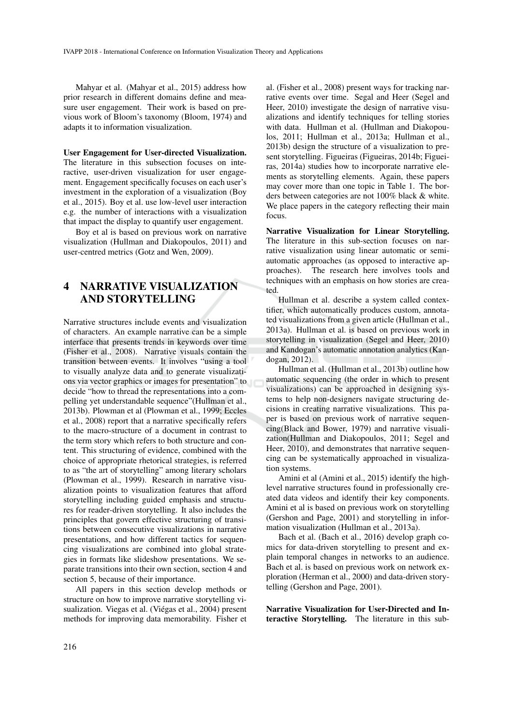Mahyar et al. (Mahyar et al., 2015) address how prior research in different domains define and measure user engagement. Their work is based on previous work of Bloom's taxonomy (Bloom, 1974) and adapts it to information visualization.

User Engagement for User-directed Visualization. The literature in this subsection focuses on interactive, user-driven visualization for user engagement. Engagement specifically focuses on each user's investment in the exploration of a visualization (Boy et al., 2015). Boy et al. use low-level user interaction e.g. the number of interactions with a visualization that impact the display to quantify user engagement.

Boy et al is based on previous work on narrative visualization (Hullman and Diakopoulos, 2011) and user-centred metrics (Gotz and Wen, 2009).

# 4 NARRATIVE VISUALIZATION AND STORYTELLING

Narrative structures include events and visualization of characters. An example narrative can be a simple interface that presents trends in keywords over time (Fisher et al., 2008). Narrative visuals contain the transition between events. It involves "using a tool to visually analyze data and to generate visualizations via vector graphics or images for presentation" to decide "how to thread the representations into a compelling yet understandable sequence"(Hullman et al., 2013b). Plowman et al (Plowman et al., 1999; Eccles et al., 2008) report that a narrative specifically refers to the macro-structure of a document in contrast to the term story which refers to both structure and content. This structuring of evidence, combined with the choice of appropriate rhetorical strategies, is referred to as "the art of storytelling" among literary scholars (Plowman et al., 1999). Research in narrative visualization points to visualization features that afford storytelling including guided emphasis and structures for reader-driven storytelling. It also includes the principles that govern effective structuring of transitions between consecutive visualizations in narrative presentations, and how different tactics for sequencing visualizations are combined into global strategies in formats like slideshow presentations. We separate transitions into their own section, section 4 and section 5, because of their importance.

All papers in this section develop methods or structure on how to improve narrative storytelling visualization. Viegas et al. (Viégas et al., 2004) present methods for improving data memorability. Fisher et

al. (Fisher et al., 2008) present ways for tracking narrative events over time. Segal and Heer (Segel and Heer, 2010) investigate the design of narrative visualizations and identify techniques for telling stories with data. Hullman et al. (Hullman and Diakopoulos, 2011; Hullman et al., 2013a; Hullman et al., 2013b) design the structure of a visualization to present storytelling. Figueiras (Figueiras, 2014b; Figueiras, 2014a) studies how to incorporate narrative elements as storytelling elements. Again, these papers may cover more than one topic in Table 1. The borders between categories are not 100% black & white. We place papers in the category reflecting their main focus.

Narrative Visualization for Linear Storytelling. The literature in this sub-section focuses on narrative visualization using linear automatic or semiautomatic approaches (as opposed to interactive approaches). The research here involves tools and techniques with an emphasis on how stories are created.

Hullman et al. describe a system called contextifier, which automatically produces custom, annotated visualizations from a given article (Hullman et al., 2013a). Hullman et al. is based on previous work in storytelling in visualization (Segel and Heer, 2010) and Kandogan's automatic annotation analytics (Kandogan, 2012).

Hullman et al. (Hullman et al., 2013b) outline how automatic sequencing (the order in which to present visualizations) can be approached in designing systems to help non-designers navigate structuring decisions in creating narrative visualizations. This paper is based on previous work of narrative sequencing(Black and Bower, 1979) and narrative visualization(Hullman and Diakopoulos, 2011; Segel and Heer,  $\overline{2010}$ , and demonstrates that narrative sequencing can be systematically approached in visualization systems.

Amini et al (Amini et al., 2015) identify the highlevel narrative structures found in professionally created data videos and identify their key components. Amini et al is based on previous work on storytelling (Gershon and Page, 2001) and storytelling in information visualization (Hullman et al., 2013a).

Bach et al. (Bach et al., 2016) develop graph comics for data-driven storytelling to present and explain temporal changes in networks to an audience. Bach et al. is based on previous work on network exploration (Herman et al., 2000) and data-driven storytelling (Gershon and Page, 2001).

Narrative Visualization for User-Directed and Interactive Storytelling. The literature in this sub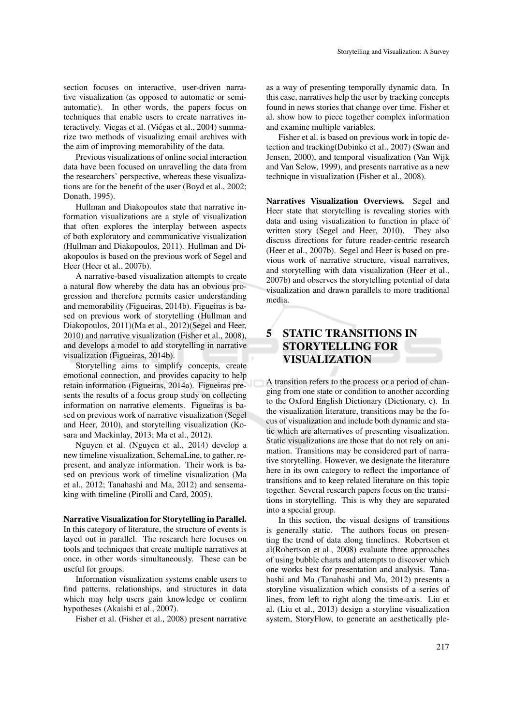section focuses on interactive, user-driven narrative visualization (as opposed to automatic or semiautomatic). In other words, the papers focus on techniques that enable users to create narratives interactively. Viegas et al. (Viégas et al., 2004) summarize two methods of visualizing email archives with the aim of improving memorability of the data.

Previous visualizations of online social interaction data have been focused on unravelling the data from the researchers' perspective, whereas these visualizations are for the benefit of the user (Boyd et al., 2002; Donath, 1995).

Hullman and Diakopoulos state that narrative information visualizations are a style of visualization that often explores the interplay between aspects of both exploratory and communicative visualization (Hullman and Diakopoulos, 2011). Hullman and Diakopoulos is based on the previous work of Segel and Heer (Heer et al., 2007b).

A narrative-based visualization attempts to create a natural flow whereby the data has an obvious progression and therefore permits easier understanding and memorability (Figueiras, 2014b). Figueiras is based on previous work of storytelling (Hullman and Diakopoulos, 2011)(Ma et al., 2012)(Segel and Heer, 2010) and narrative visualization (Fisher et al., 2008), and develops a model to add storytelling in narrative visualization (Figueiras, 2014b).

Storytelling aims to simplify concepts, create emotional connection, and provides capacity to help retain information (Figueiras, 2014a). Figueiras presents the results of a focus group study on collecting information on narrative elements. Figueiras is based on previous work of narrative visualization (Segel and Heer, 2010), and storytelling visualization (Kosara and Mackinlay, 2013; Ma et al., 2012).

Nguyen et al. (Nguyen et al., 2014) develop a new timeline visualization, SchemaLine, to gather, represent, and analyze information. Their work is based on previous work of timeline visualization (Ma et al., 2012; Tanahashi and Ma, 2012) and sensemaking with timeline (Pirolli and Card, 2005).

#### Narrative Visualization for Storytelling in Parallel.

In this category of literature, the structure of events is layed out in parallel. The research here focuses on tools and techniques that create multiple narratives at once, in other words simultaneously. These can be useful for groups.

Information visualization systems enable users to find patterns, relationships, and structures in data which may help users gain knowledge or confirm hypotheses (Akaishi et al., 2007).

Fisher et al. (Fisher et al., 2008) present narrative

as a way of presenting temporally dynamic data. In this case, narratives help the user by tracking concepts found in news stories that change over time. Fisher et al. show how to piece together complex information and examine multiple variables.

Fisher et al. is based on previous work in topic detection and tracking(Dubinko et al., 2007) (Swan and Jensen, 2000), and temporal visualization (Van Wijk and Van Selow, 1999), and presents narrative as a new technique in visualization (Fisher et al., 2008).

Narratives Visualization Overviews. Segel and Heer state that storytelling is revealing stories with data and using visualization to function in place of written story (Segel and Heer, 2010). They also discuss directions for future reader-centric research (Heer et al., 2007b). Segel and Heer is based on previous work of narrative structure, visual narratives, and storytelling with data visualization (Heer et al., 2007b) and observes the storytelling potential of data visualization and drawn parallels to more traditional media.

# 5 STATIC TRANSITIONS IN STORYTELLING FOR VISUALIZATION

A transition refers to the process or a period of changing from one state or condition to another according to the Oxford English Dictionary (Dictionary, c). In the visualization literature, transitions may be the focus of visualization and include both dynamic and static which are alternatives of presenting visualization. Static visualizations are those that do not rely on animation. Transitions may be considered part of narrative storytelling. However, we designate the literature here in its own category to reflect the importance of transitions and to keep related literature on this topic together. Several research papers focus on the transitions in storytelling. This is why they are separated into a special group.

In this section, the visual designs of transitions is generally static. The authors focus on presenting the trend of data along timelines. Robertson et al(Robertson et al., 2008) evaluate three approaches of using bubble charts and attempts to discover which one works best for presentation and analysis. Tanahashi and Ma (Tanahashi and Ma, 2012) presents a storyline visualization which consists of a series of lines, from left to right along the time-axis. Liu et al. (Liu et al., 2013) design a storyline visualization system, StoryFlow, to generate an aesthetically ple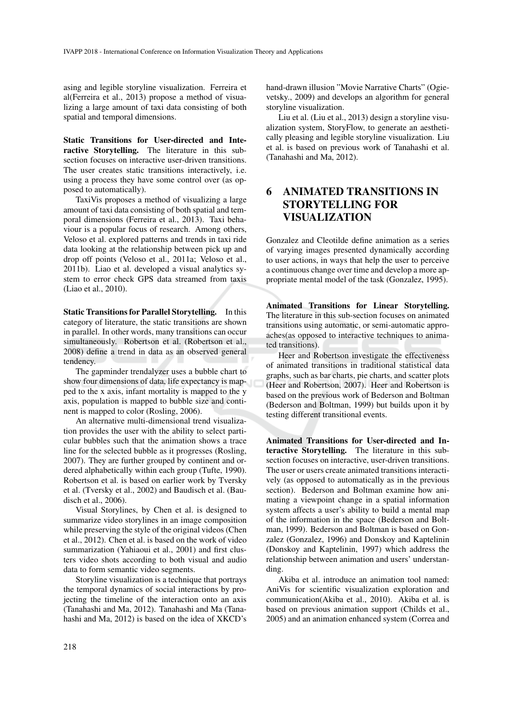asing and legible storyline visualization. Ferreira et al(Ferreira et al., 2013) propose a method of visualizing a large amount of taxi data consisting of both spatial and temporal dimensions.

Static Transitions for User-directed and Interactive Storytelling. The literature in this subsection focuses on interactive user-driven transitions. The user creates static transitions interactively, i.e. using a process they have some control over (as opposed to automatically).

TaxiVis proposes a method of visualizing a large amount of taxi data consisting of both spatial and temporal dimensions (Ferreira et al., 2013). Taxi behaviour is a popular focus of research. Among others, Veloso et al. explored patterns and trends in taxi ride data looking at the relationship between pick up and drop off points (Veloso et al., 2011a; Veloso et al., 2011b). Liao et al. developed a visual analytics system to error check GPS data streamed from taxis (Liao et al., 2010).

Static Transitions for Parallel Storytelling. In this category of literature, the static transitions are shown in parallel. In other words, many transitions can occur simultaneously. Robertson et al. (Robertson et al., 2008) define a trend in data as an observed general tendency.

The gapminder trendalyzer uses a bubble chart to show four dimensions of data, life expectancy is mapped to the x axis, infant mortality is mapped to the y axis, population is mapped to bubble size and continent is mapped to color (Rosling, 2006).

An alternative multi-dimensional trend visualization provides the user with the ability to select particular bubbles such that the animation shows a trace line for the selected bubble as it progresses (Rosling, 2007). They are further grouped by continent and ordered alphabetically within each group (Tufte, 1990). Robertson et al. is based on earlier work by Tversky et al. (Tversky et al., 2002) and Baudisch et al. (Baudisch et al., 2006).

Visual Storylines, by Chen et al. is designed to summarize video storylines in an image composition while preserving the style of the original videos (Chen et al., 2012). Chen et al. is based on the work of video summarization (Yahiaoui et al., 2001) and first clusters video shots according to both visual and audio data to form semantic video segments.

Storyline visualization is a technique that portrays the temporal dynamics of social interactions by projecting the timeline of the interaction onto an axis (Tanahashi and Ma, 2012). Tanahashi and Ma (Tanahashi and Ma, 2012) is based on the idea of XKCD's

hand-drawn illusion "Movie Narrative Charts" (Ogievetsky., 2009) and develops an algorithm for general storyline visualization.

Liu et al. (Liu et al., 2013) design a storyline visualization system, StoryFlow, to generate an aesthetically pleasing and legible storyline visualization. Liu et al. is based on previous work of Tanahashi et al. (Tanahashi and Ma, 2012).

# 6 ANIMATED TRANSITIONS IN STORYTELLING FOR VISUALIZATION

Gonzalez and Cleotilde define animation as a series of varying images presented dynamically according to user actions, in ways that help the user to perceive a continuous change over time and develop a more appropriate mental model of the task (Gonzalez, 1995).

Animated Transitions for Linear Storytelling. The literature in this sub-section focuses on animated transitions using automatic, or semi-automatic approaches(as opposed to interactive techniques to animated transitions).

Heer and Robertson investigate the effectiveness of animated transitions in traditional statistical data graphs, such as bar charts, pie charts, and scatter plots (Heer and Robertson, 2007). Heer and Robertson is based on the previous work of Bederson and Boltman (Bederson and Boltman, 1999) but builds upon it by testing different transitional events.

Animated Transitions for User-directed and Interactive Storytelling. The literature in this subsection focuses on interactive, user-driven transitions. The user or users create animated transitions interactively (as opposed to automatically as in the previous section). Bederson and Boltman examine how animating a viewpoint change in a spatial information system affects a user's ability to build a mental map of the information in the space (Bederson and Boltman, 1999). Bederson and Boltman is based on Gonzalez (Gonzalez, 1996) and Donskoy and Kaptelinin (Donskoy and Kaptelinin, 1997) which address the relationship between animation and users' understanding.

Akiba et al. introduce an animation tool named: AniVis for scientific visualization exploration and communication(Akiba et al., 2010). Akiba et al. is based on previous animation support (Childs et al., 2005) and an animation enhanced system (Correa and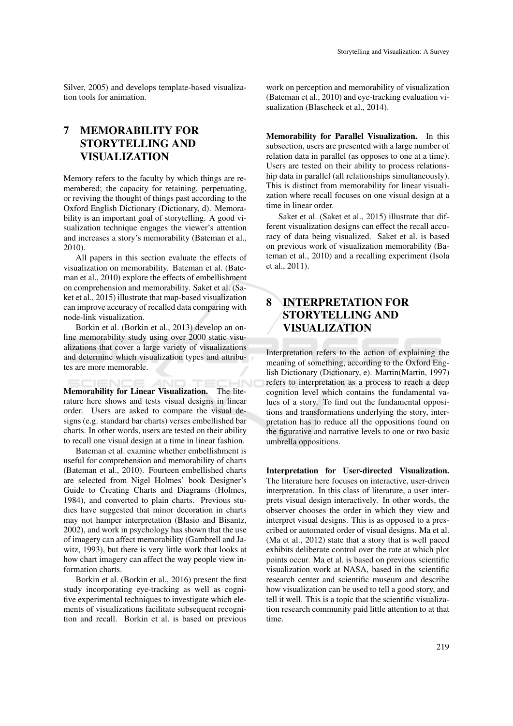Silver, 2005) and develops template-based visualization tools for animation.

# 7 MEMORABILITY FOR STORYTELLING AND VISUALIZATION

Memory refers to the faculty by which things are remembered; the capacity for retaining, perpetuating, or reviving the thought of things past according to the Oxford English Dictionary (Dictionary, d). Memorability is an important goal of storytelling. A good visualization technique engages the viewer's attention and increases a story's memorability (Bateman et al., 2010).

All papers in this section evaluate the effects of visualization on memorability. Bateman et al. (Bateman et al., 2010) explore the effects of embellishment on comprehension and memorability. Saket et al. (Saket et al., 2015) illustrate that map-based visualization can improve accuracy of recalled data comparing with node-link visualization.

Borkin et al. (Borkin et al., 2013) develop an online memorability study using over 2000 static visualizations that cover a large variety of visualizations and determine which visualization types and attributes are more memorable.

Memorability for Linear Visualization. The literature here shows and tests visual designs in linear order. Users are asked to compare the visual designs (e.g. standard bar charts) verses embellished bar charts. In other words, users are tested on their ability to recall one visual design at a time in linear fashion.

Bateman et al. examine whether embellishment is useful for comprehension and memorability of charts (Bateman et al., 2010). Fourteen embellished charts are selected from Nigel Holmes' book Designer's Guide to Creating Charts and Diagrams (Holmes, 1984), and converted to plain charts. Previous studies have suggested that minor decoration in charts may not hamper interpretation (Blasio and Bisantz, 2002), and work in psychology has shown that the use of imagery can affect memorability (Gambrell and Jawitz, 1993), but there is very little work that looks at how chart imagery can affect the way people view information charts.

Borkin et al. (Borkin et al., 2016) present the first study incorporating eye-tracking as well as cognitive experimental techniques to investigate which elements of visualizations facilitate subsequent recognition and recall. Borkin et al. is based on previous

work on perception and memorability of visualization (Bateman et al., 2010) and eye-tracking evaluation visualization (Blascheck et al., 2014).

Memorability for Parallel Visualization. In this subsection, users are presented with a large number of relation data in parallel (as opposes to one at a time). Users are tested on their ability to process relationship data in parallel (all relationships simultaneously). This is distinct from memorability for linear visualization where recall focuses on one visual design at a time in linear order.

Saket et al. (Saket et al., 2015) illustrate that different visualization designs can effect the recall accuracy of data being visualized. Saket et al. is based on previous work of visualization memorability (Bateman et al., 2010) and a recalling experiment (Isola et al., 2011).

# 8 INTERPRETATION FOR STORYTELLING AND VISUALIZATION

Interpretation refers to the action of explaining the meaning of something, according to the Oxford English Dictionary (Dictionary, e). Martin(Martin, 1997) refers to interpretation as a process to reach a deep cognition level which contains the fundamental values of a story. To find out the fundamental oppositions and transformations underlying the story, interpretation has to reduce all the oppositions found on the figurative and narrative levels to one or two basic umbrella oppositions.

Interpretation for User-directed Visualization. The literature here focuses on interactive, user-driven interpretation. In this class of literature, a user interprets visual design interactively. In other words, the observer chooses the order in which they view and interpret visual designs. This is as opposed to a prescribed or automated order of visual designs. Ma et al. (Ma et al., 2012) state that a story that is well paced exhibits deliberate control over the rate at which plot points occur. Ma et al. is based on previous scientific visualization work at NASA, based in the scientific research center and scientific museum and describe how visualization can be used to tell a good story, and tell it well. This is a topic that the scientific visualization research community paid little attention to at that time.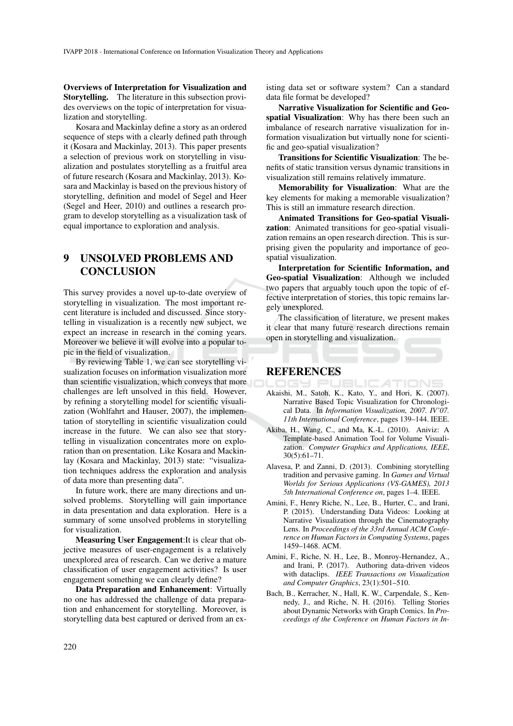Overviews of Interpretation for Visualization and Storytelling. The literature in this subsection provides overviews on the topic of interpretation for visualization and storytelling.

Kosara and Mackinlay define a story as an ordered sequence of steps with a clearly defined path through it (Kosara and Mackinlay, 2013). This paper presents a selection of previous work on storytelling in visualization and postulates storytelling as a fruitful area of future research (Kosara and Mackinlay, 2013). Kosara and Mackinlay is based on the previous history of storytelling, definition and model of Segel and Heer (Segel and Heer, 2010) and outlines a research program to develop storytelling as a visualization task of equal importance to exploration and analysis.

## 9 UNSOLVED PROBLEMS AND **CONCLUSION**

This survey provides a novel up-to-date overview of storytelling in visualization. The most important recent literature is included and discussed. Since storytelling in visualization is a recently new subject, we expect an increase in research in the coming years. Moreover we believe it will evolve into a popular topic in the field of visualization.

By reviewing Table 1, we can see storytelling visualization focuses on information visualization more than scientific visualization, which conveys that more challenges are left unsolved in this field. However, by refining a storytelling model for scientific visualization (Wohlfahrt and Hauser, 2007), the implementation of storytelling in scientific visualization could increase in the future. We can also see that storytelling in visualization concentrates more on exploration than on presentation. Like Kosara and Mackinlay (Kosara and Mackinlay, 2013) state: "visualization techniques address the exploration and analysis of data more than presenting data".

In future work, there are many directions and unsolved problems. Storytelling will gain importance in data presentation and data exploration. Here is a summary of some unsolved problems in storytelling for visualization.

Measuring User Engagement:It is clear that objective measures of user-engagement is a relatively unexplored area of research. Can we derive a mature classification of user engagement activities? Is user engagement something we can clearly define?

Data Preparation and Enhancement: Virtually no one has addressed the challenge of data preparation and enhancement for storytelling. Moreover, is storytelling data best captured or derived from an existing data set or software system? Can a standard data file format be developed?

Narrative Visualization for Scientific and Geospatial Visualization: Why has there been such an imbalance of research narrative visualization for information visualization but virtually none for scientific and geo-spatial visualization?

Transitions for Scientific Visualization: The benefits of static transition versus dynamic transitions in visualization still remains relatively immature.

Memorability for Visualization: What are the key elements for making a memorable visualization? This is still an immature research direction.

Animated Transitions for Geo-spatial Visualization: Animated transitions for geo-spatial visualization remains an open research direction. This is surprising given the popularity and importance of geospatial visualization.

Interpretation for Scientific Information, and Geo-spatial Visualization: Although we included two papers that arguably touch upon the topic of effective interpretation of stories, this topic remains largely unexplored.

The classification of literature, we present makes it clear that many future research directions remain open in storytelling and visualization.

#### REFERENCES

JBLIC A Akaishi, M., Satoh, K., Kato, Y., and Hori, K. (2007). Narrative Based Topic Visualization for Chronological Data. In *Information Visualization, 2007. IV'07. 11th International Conference*, pages 139–144. IEEE.

TIONS

- Akiba, H., Wang, C., and Ma, K.-L. (2010). Aniviz: A Template-based Animation Tool for Volume Visualization. *Computer Graphics and Applications, IEEE*, 30(5):61–71.
- Alavesa, P. and Zanni, D. (2013). Combining storytelling tradition and pervasive gaming. In *Games and Virtual Worlds for Serious Applications (VS-GAMES), 2013 5th International Conference on*, pages 1–4. IEEE.
- Amini, F., Henry Riche, N., Lee, B., Hurter, C., and Irani, P. (2015). Understanding Data Videos: Looking at Narrative Visualization through the Cinematography Lens. In *Proceedings of the 33rd Annual ACM Conference on Human Factors in Computing Systems*, pages 1459–1468. ACM.
- Amini, F., Riche, N. H., Lee, B., Monroy-Hernandez, A., and Irani, P. (2017). Authoring data-driven videos with dataclips. *IEEE Transactions on Visualization and Computer Graphics*, 23(1):501–510.
- Bach, B., Kerracher, N., Hall, K. W., Carpendale, S., Kennedy, J., and Riche, N. H. (2016). Telling Stories about Dynamic Networks with Graph Comics. In *Proceedings of the Conference on Human Factors in In-*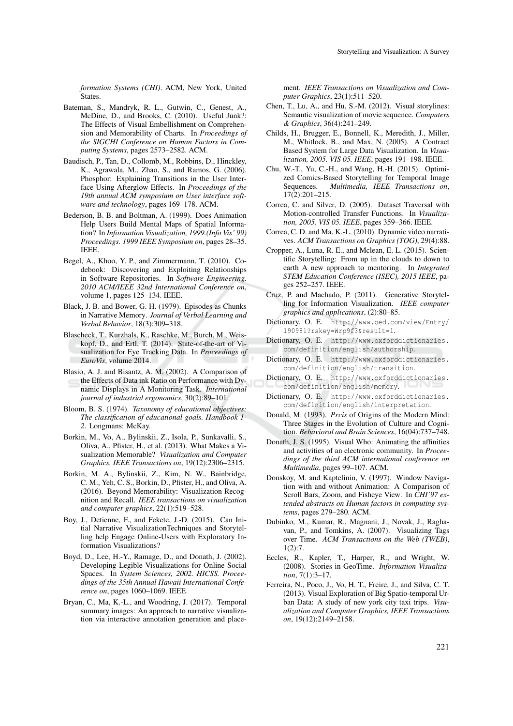*formation Systems (CHI)*. ACM, New York, United States.

- Bateman, S., Mandryk, R. L., Gutwin, C., Genest, A., McDine, D., and Brooks, C. (2010). Useful Junk?: The Effects of Visual Embellishment on Comprehension and Memorability of Charts. In *Proceedings of the SIGCHI Conference on Human Factors in Computing Systems*, pages 2573–2582. ACM.
- Baudisch, P., Tan, D., Collomb, M., Robbins, D., Hinckley, K., Agrawala, M., Zhao, S., and Ramos, G. (2006). Phosphor: Explaining Transitions in the User Interface Using Afterglow Effects. In *Proceedings of the 19th annual ACM symposium on User interface software and technology*, pages 169–178. ACM.
- Bederson, B. B. and Boltman, A. (1999). Does Animation Help Users Build Mental Maps of Spatial Information? In *Information Visualization, 1999.(Info Vis' 99) Proceedings. 1999 IEEE Symposium on*, pages 28–35. IEEE.
- Begel, A., Khoo, Y. P., and Zimmermann, T. (2010). Codebook: Discovering and Exploiting Relationships in Software Repositories. In *Software Engineering, 2010 ACM/IEEE 32nd International Conference on*, volume 1, pages 125–134. IEEE.
- Black, J. B. and Bower, G. H. (1979). Episodes as Chunks in Narrative Memory. *Journal of Verbal Learning and Verbal Behavior*, 18(3):309–318.
- Blascheck, T., Kurzhals, K., Raschke, M., Burch, M., Weiskopf, D., and Ertl, T. (2014). State-of-the-art of Visualization for Eye Tracking Data. In *Proceedings of EuroVis*, volume 2014.
- Blasio, A. J. and Bisantz, A. M. (2002). A Comparison of the Effects of Data ink Ratio on Performance with Dynamic Displays in A Monitoring Task. *International journal of industrial ergonomics*, 30(2):89–101.
- Bloom, B. S. (1974). *Taxonomy of educational objectives: The classification of educational goals. Handbook 1- 2*. Longmans: McKay.
- Borkin, M., Vo, A., Bylinskii, Z., Isola, P., Sunkavalli, S., Oliva, A., Pfister, H., et al. (2013). What Makes a Visualization Memorable? *Visualization and Computer Graphics, IEEE Transactions on*, 19(12):2306–2315.
- Borkin, M. A., Bylinskii, Z., Kim, N. W., Bainbridge, C. M., Yeh, C. S., Borkin, D., Pfister, H., and Oliva, A. (2016). Beyond Memorability: Visualization Recognition and Recall. *IEEE transactions on visualization and computer graphics*, 22(1):519–528.
- Boy, J., Detienne, F., and Fekete, J.-D. (2015). Can Initial Narrative VisualizationTechniques and Storytelling help Engage Online-Users with Exploratory Information Visualizations?
- Boyd, D., Lee, H.-Y., Ramage, D., and Donath, J. (2002). Developing Legible Visualizations for Online Social Spaces. In *System Sciences, 2002. HICSS. Proceedings of the 35th Annual Hawaii International Conference on*, pages 1060–1069. IEEE.
- Bryan, C., Ma, K.-L., and Woodring, J. (2017). Temporal summary images: An approach to narrative visualization via interactive annotation generation and place-

ment. *IEEE Transactions on Visualization and Computer Graphics*, 23(1):511–520.

- Chen, T., Lu, A., and Hu, S.-M. (2012). Visual storylines: Semantic visualization of movie sequence. *Computers & Graphics*, 36(4):241–249.
- Childs, H., Brugger, E., Bonnell, K., Meredith, J., Miller, M., Whitlock, B., and Max, N. (2005). A Contract Based System for Large Data Visualization. In *Visualization, 2005. VIS 05. IEEE*, pages 191–198. IEEE.
- Chu, W.-T., Yu, C.-H., and Wang, H.-H. (2015). Optimized Comics-Based Storytelling for Temporal Image Sequences. *Multimedia, IEEE Transactions on*, 17(2):201–215.
- Correa, C. and Silver, D. (2005). Dataset Traversal with Motion-controlled Transfer Functions. In *Visualization, 2005. VIS 05. IEEE*, pages 359–366. IEEE.
- Correa, C. D. and Ma, K.-L. (2010). Dynamic video narratives. *ACM Transactions on Graphics (TOG)*, 29(4):88.
- Cropper, A., Luna, R. E., and Mclean, E. L. (2015). Scientific Storytelling: From up in the clouds to down to earth A new approach to mentoring. In *Integrated STEM Education Conference (ISEC), 2015 IEEE*, pages 252–257. IEEE.
- Cruz, P. and Machado, P. (2011). Generative Storytelling for Information Visualization. *IEEE computer graphics and applications*, (2):80–85.
- Dictionary, O. E. http://www.oed.com/view/Entry/ 190981?rskey=Wrp9f3&result=1.
- Dictionary, O. E. http://www.oxforddictionaries. com/definition/english/authorship.
- Dictionary, O. E. http://www.oxforddictionaries. com/definition/english/transition.
- Dictionary, O. E. http://www.oxforddictionaries. com/definition/english/memory.
- Dictionary, O. E. http://www.oxforddictionaries. com/definition/english/interpretation.
- Donald, M. (1993). *Prcis* of Origins of the Modern Mind: Three Stages in the Evolution of Culture and Cognition. *Behavioral and Brain Sciences*, 16(04):737–748.
- Donath, J. S. (1995). Visual Who: Animating the affinities and activities of an electronic community. In *Proceedings of the third ACM international conference on Multimedia*, pages 99–107. ACM.
- Donskoy, M. and Kaptelinin, V. (1997). Window Navigation with and without Animation: A Comparison of Scroll Bars, Zoom, and Fisheye View. In *CHI'97 extended abstracts on Human factors in computing systems*, pages 279–280. ACM.
- Dubinko, M., Kumar, R., Magnani, J., Novak, J., Raghavan, P., and Tomkins, A. (2007). Visualizing Tags over Time. *ACM Transactions on the Web (TWEB)*, 1(2):7.
- Eccles, R., Kapler, T., Harper, R., and Wright, W. (2008). Stories in GeoTime. *Information Visualization*, 7(1):3–17.
- Ferreira, N., Poco, J., Vo, H. T., Freire, J., and Silva, C. T. (2013). Visual Exploration of Big Spatio-temporal Urban Data: A study of new york city taxi trips. *Visualization and Computer Graphics, IEEE Transactions on*, 19(12):2149–2158.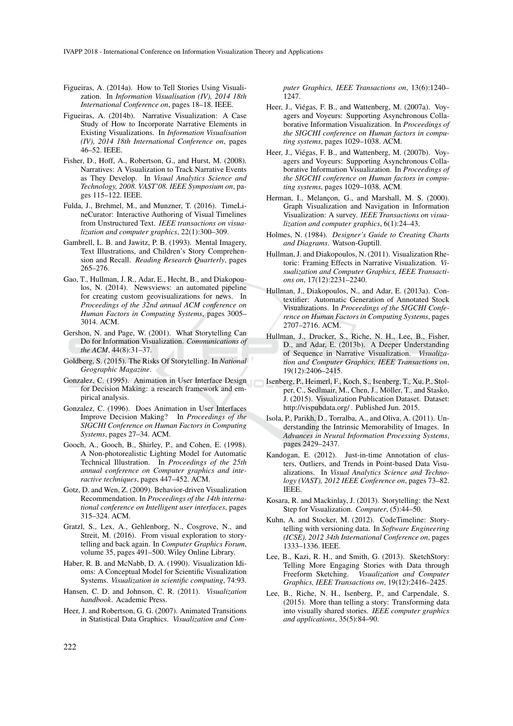- Figueiras, A. (2014a). How to Tell Stories Using Visualization. In *Information Visualisation (IV), 2014 18th International Conference on*, pages 18–18. IEEE.
- Figueiras, A. (2014b). Narrative Visualization: A Case Study of How to Incorporate Narrative Elements in Existing Visualizations. In *Information Visualisation (IV), 2014 18th International Conference on*, pages 46–52. IEEE.
- Fisher, D., Hoff, A., Robertson, G., and Hurst, M. (2008). Narratives: A Visualization to Track Narrative Events as They Develop. In *Visual Analytics Science and Technology, 2008. VAST'08. IEEE Symposium on*, pages 115–122. IEEE.
- Fulda, J., Brehmel, M., and Munzner, T. (2016). TimeLineCurator: Interactive Authoring of Visual Timelines from Unstructured Text. *IEEE transactions on visualization and computer graphics*, 22(1):300–309.
- Gambrell, L. B. and Jawitz, P. B. (1993). Mental Imagery, Text Illustrations, and Children's Story Comprehension and Recall. *Reading Research Quarterly*, pages 265–276.
- Gao, T., Hullman, J. R., Adar, E., Hecht, B., and Diakopoulos, N. (2014). Newsviews: an automated pipeline for creating custom geovisualizations for news. In *Proceedings of the 32nd annual ACM conference on Human Factors in Computing Systems*, pages 3005– 3014. ACM.
- Gershon, N. and Page, W. (2001). What Storytelling Can Do for Information Visualization. *Communications of the ACM*, 44(8):31–37.
- Goldberg, S. (2015). The Risks Of Storytelling. In *National Geographic Magazine*.
- Gonzalez, C. (1995). Animation in User Interface Design for Decision Making: a research framework and empirical analysis.
- Gonzalez, C. (1996). Does Animation in User Interfaces Improve Decision Making? In *Proceedings of the SIGCHI Conference on Human Factors in Computing Systems*, pages 27–34. ACM.
- Gooch, A., Gooch, B., Shirley, P., and Cohen, E. (1998). A Non-photorealistic Lighting Model for Automatic Technical Illustration. In *Proceedings of the 25th annual conference on Computer graphics and interactive techniques*, pages 447–452. ACM.
- Gotz, D. and Wen, Z. (2009). Behavior-driven Visualization Recommendation. In *Proceedings of the 14th international conference on Intelligent user interfaces*, pages 315–324. ACM.
- Gratzl, S., Lex, A., Gehlenborg, N., Cosgrove, N., and Streit, M. (2016). From visual exploration to storytelling and back again. In *Computer Graphics Forum*, volume 35, pages 491–500. Wiley Online Library.
- Haber, R. B. and McNabb, D. A. (1990). Visualization Idioms: A Conceptual Model for Scientific Visualization Systems. *Visualization in scientific computing*, 74:93.
- Hansen, C. D. and Johnson, C. R. (2011). *Visualization handbook*. Academic Press.
- Heer, J. and Robertson, G. G. (2007). Animated Transitions in Statistical Data Graphics. *Visualization and Com-*

*puter Graphics, IEEE Transactions on*, 13(6):1240– 1247.

- Heer, J., Viégas, F. B., and Wattenberg, M. (2007a). Voyagers and Voyeurs: Supporting Asynchronous Collaborative Information Visualization. In *Proceedings of the SIGCHI conference on Human factors in computing systems*, pages 1029–1038. ACM.
- Heer, J., Viégas, F. B., and Wattenberg, M. (2007b). Voyagers and Voyeurs: Supporting Asynchronous Collaborative Information Visualization. In *Proceedings of the SIGCHI conference on Human factors in computing systems*, pages 1029–1038. ACM.
- Herman, I., Melançon, G., and Marshall, M. S. (2000). Graph Visualization and Navigation in Information Visualization: A survey. *IEEE Transactions on visualization and computer graphics*, 6(1):24–43.
- Holmes, N. (1984). *Designer's Guide to Creating Charts and Diagrams*. Watson-Guptill.
- Hullman, J. and Diakopoulos, N. (2011). Visualization Rhetoric: Framing Effects in Narrative Visualization. *Visualization and Computer Graphics, IEEE Transactions on*, 17(12):2231–2240.
- Hullman, J., Diakopoulos, N., and Adar, E. (2013a). Contextifier: Automatic Generation of Annotated Stock Visualizations. In *Proceedings of the SIGCHI Conference on Human Factors in Computing Systems*, pages 2707–2716. ACM.
- Hullman, J., Drucker, S., Riche, N. H., Lee, B., Fisher, D., and Adar, E. (2013b). A Deeper Understanding of Sequence in Narrative Visualization. *Visualization and Computer Graphics, IEEE Transactions on*, 19(12):2406–2415.
- Isenberg, P., Heimerl, F., Koch, S., Isenberg, T., Xu, P., Stolper, C., Sedlmair, M., Chen, J., Möller, T., and Stasko, J. (2015). Visualization Publication Dataset. Dataset: http://vispubdata.org/ . Published Jun. 2015.
- Isola, P., Parikh, D., Torralba, A., and Oliva, A. (2011). Understanding the Intrinsic Memorability of Images. In *Advances in Neural Information Processing Systems*, pages 2429–2437.
- Kandogan, E. (2012). Just-in-time Annotation of clusters, Outliers, and Trends in Point-based Data Visualizations. In *Visual Analytics Science and Technology (VAST), 2012 IEEE Conference on*, pages 73–82. IEEE.
- Kosara, R. and Mackinlay, J. (2013). Storytelling: the Next Step for Visualization. *Computer*, (5):44–50.
- Kuhn, A. and Stocker, M. (2012). CodeTimeline: Storytelling with versioning data. In *Software Engineering (ICSE), 2012 34th International Conference on*, pages 1333–1336. IEEE.
- Lee, B., Kazi, R. H., and Smith, G. (2013). SketchStory: Telling More Engaging Stories with Data through Freeform Sketching. *Visualization and Computer Graphics, IEEE Transactions on*, 19(12):2416–2425.
- Lee, B., Riche, N. H., Isenberg, P., and Carpendale, S. (2015). More than telling a story: Transforming data into visually shared stories. *IEEE computer graphics and applications*, 35(5):84–90.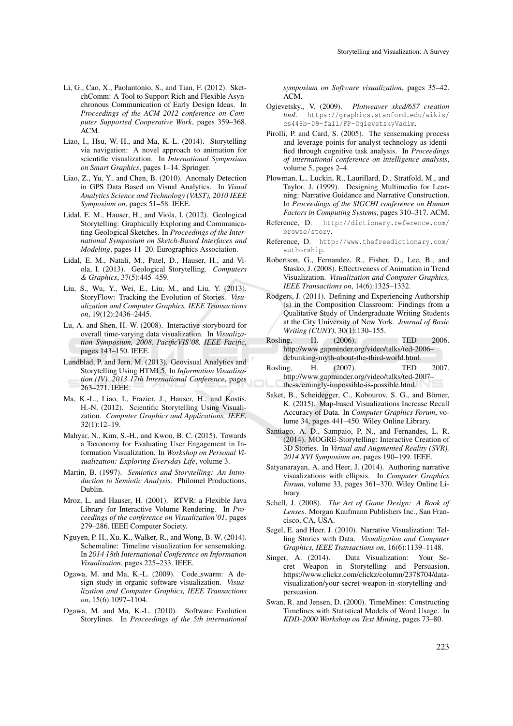- Li, G., Cao, X., Paolantonio, S., and Tian, F. (2012). SketchComm: A Tool to Support Rich and Flexible Asynchronous Communication of Early Design Ideas. In *Proceedings of the ACM 2012 conference on Computer Supported Cooperative Work*, pages 359–368. ACM.
- Liao, I., Hsu, W.-H., and Ma, K.-L. (2014). Storytelling via navigation: A novel approach to animation for scientific visualization. In *International Symposium on Smart Graphics*, pages 1–14. Springer.
- Liao, Z., Yu, Y., and Chen, B. (2010). Anomaly Detection in GPS Data Based on Visual Analytics. In *Visual Analytics Science and Technology (VAST), 2010 IEEE Symposium on*, pages 51–58. IEEE.
- Lidal, E. M., Hauser, H., and Viola, I. (2012). Geological Storytelling: Graphically Exploring and Communicating Geological Sketches. In *Proceedings of the International Symposium on Sketch-Based Interfaces and Modeling*, pages 11–20. Eurographics Association.
- Lidal, E. M., Natali, M., Patel, D., Hauser, H., and Viola, I. (2013). Geological Storytelling. *Computers & Graphics*, 37(5):445–459.
- Liu, S., Wu, Y., Wei, E., Liu, M., and Liu, Y. (2013). StoryFlow: Tracking the Evolution of Stories. *Visualization and Computer Graphics, IEEE Transactions on*, 19(12):2436–2445.
- Lu, A. and Shen, H.-W. (2008). Interactive storyboard for overall time-varying data visualization. In *Visualization Symposium, 2008. PacificVIS'08. IEEE Pacific*, pages 143–150. IEEE.
- Lundblad, P. and Jern, M. (2013). Geovisual Analytics and Storytelling Using HTML5. In *Information Visualisation (IV), 2013 17th International Conference*, pages 263–271. IEEE.
- Ma, K.-L., Liao, I., Frazier, J., Hauser, H., and Kostis, H.-N. (2012). Scientific Storytelling Using Visualization. *Computer Graphics and Applications, IEEE*, 32(1):12–19.
- Mahyar, N., Kim, S.-H., and Kwon, B. C. (2015). Towards a Taxonomy for Evaluating User Engagement in Information Visualization. In *Workshop on Personal Visualization: Exploring Everyday Life*, volume 3.
- Martin, B. (1997). *Semiotics and Storytelling: An Introduction to Semiotic Analysis*. Philomel Productions, Dublin.
- Mroz, L. and Hauser, H. (2001). RTVR: a Flexible Java Library for Interactive Volume Rendering. In *Proceedings of the conference on Visualization'01*, pages 279–286. IEEE Computer Society.
- Nguyen, P. H., Xu, K., Walker, R., and Wong, B. W. (2014). Schemaline: Timeline visualization for sensemaking. In *2014 18th International Conference on Information Visualisation*, pages 225–233. IEEE.
- Ogawa, M. and Ma, K.-L. (2009). Code swarm: A design study in organic software visualization. *Visualization and Computer Graphics, IEEE Transactions on*, 15(6):1097–1104.
- Ogawa, M. and Ma, K.-L. (2010). Software Evolution Storylines. In *Proceedings of the 5th international*

*symposium on Software visualization*, pages 35–42. ACM.

- Ogievetsky., V. (2009). *Plotweaver xkcd/657 creation tool*. https://graphics.stanford.edu/wikis/ cs448b-09-fall/FP-OgievetskyVadim.
- Pirolli, P. and Card, S. (2005). The sensemaking process and leverage points for analyst technology as identified through cognitive task analysis. In *Proceedings of international conference on intelligence analysis*, volume 5, pages 2–4.
- Plowman, L., Luckin, R., Laurillard, D., Stratfold, M., and Taylor, J. (1999). Designing Multimedia for Learning: Narrative Guidance and Narrative Construction. In *Proceedings of the SIGCHI conference on Human Factors in Computing Systems*, pages 310–317. ACM.
- Reference, D. http://dictionary.reference.com/ browse/story.
- Reference, D. http://www.thefreedictionary.com/ authorship.
- Robertson, G., Fernandez, R., Fisher, D., Lee, B., and Stasko, J. (2008). Effectiveness of Animation in Trend Visualization. *Visualization and Computer Graphics, IEEE Transactions on*, 14(6):1325–1332.
- Rodgers, J. (2011). Defining and Experiencing Authorship (s) in the Composition Classroom: Findings from a Qualitative Study of Undergraduate Writing Students at the City University of New York. *Journal of Basic Writing (CUNY)*, 30(1):130–155.
- Rosling, H. (2006). TED 2006. http://www.gapminder.org/video/talks/ted-2006– debunking-myth-about-the-third-world.html.
- Rosling, H. (2007). TED 2007. http://www.gapminder.org/video/talks/ted-2007– the-seemingly-impossible-is-possible.html.
- Saket, B., Scheidegger, C., Kobourov, S. G., and Börner, K. (2015). Map-based Visualizations Increase Recall Accuracy of Data. In *Computer Graphics Forum*, volume 34, pages 441–450. Wiley Online Library.
- Santiago, A. D., Sampaio, P. N., and Fernandes, L. R. (2014). MOGRE-Storytelling: Interactive Creation of 3D Stories. In *Virtual and Augmented Reality (SVR), 2014 XVI Symposium on*, pages 190–199. IEEE.
- Satyanarayan, A. and Heer, J. (2014). Authoring narrative visualizations with ellipsis. In *Computer Graphics Forum*, volume 33, pages 361–370. Wiley Online Library.
- Schell, J. (2008). *The Art of Game Design: A Book of Lenses*. Morgan Kaufmann Publishers Inc., San Francisco, CA, USA.
- Segel, E. and Heer, J. (2010). Narrative Visualization: Telling Stories with Data. *Visualization and Computer Graphics, IEEE Transactions on*, 16(6):1139–1148.
- Singer, A. (2014). Data Visualization: Your Secret Weapon in Storytelling and Persuasion. https://www.clickz.com/clickz/column/2378704/datavisualization/your-secret-weapon-in-storytelling-andpersuasion.
- Swan, R. and Jensen, D. (2000). TimeMines: Constructing Timelines with Statistical Models of Word Usage. In *KDD-2000 Workshop on Text Mining*, pages 73–80.